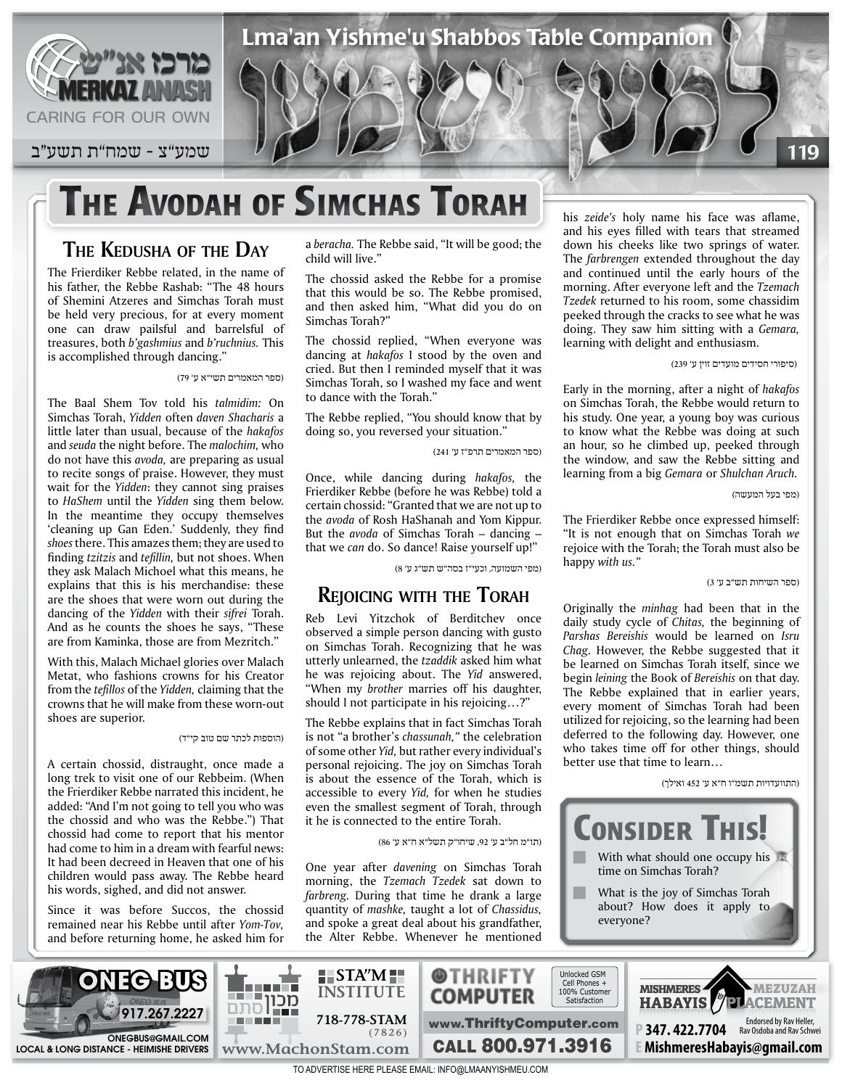

# **THE AVODAH OF SIMCHAS TORAH**

#### **THE KEDUSHA OF THE DAY**

The Frierdiker Rebbe related, in the name of his father, the Rebbe Rashab: "The 48 hours of Shemini Atzeres and Simchas Torah must be held very precious, for at every moment one can draw pailsful and barrelsful of treasures, both *b*'gashmius and *b*'ruchnius. This is accomplished through dancing."

)ספר המאמרים תשי"א ע' 79(

The Baal Shem Tov told his talmidim: On Simchas Torah, Yidden often daven Shacharis a little later than usual, because of the hakafos and *seuda* the night before. The *malochim*, who do not have this avoda, are preparing as usual to recite songs of praise. However, they must wait for the Yidden: they cannot sing praises to *HaShem* until the Yidden sing them below. In the meantime they occupy themselves 'cleaning up Gan Eden.' Suddenly, they find shoes there. This amazes them; they are used to finding *tzitzis* and *tefillin*, but not shoes. When they ask Malach Michoel what this means, he explains that this is his merchandise: these are the shoes that were worn out during the dancing of the *Yidden* with their sifrei Torah. And as he counts the shoes he says, "These are from Kaminka, those are from Mezritch."

With this, Malach Michael glories over Malach Metat, who fashions crowns for his Creator from the *tefillos* of the *Yidden*, claiming that the crowns that he will make from these worn-out shoes are superior.

)הוספות לכתר שם טוב קי"ד(

A certain chossid, distraught, once made a long trek to visit one of our Rebbeim. (When the Frierdiker Rebbe narrated this incident, he added: "And I'm not going to tell you who was the chossid and who was the Rebbe.") That chossid had come to report that his mentor had come to him in a dream with fearful news: It had been decreed in Heaven that one of his children would pass away. The Rebbe heard his words, sighed, and did not answer.

Since it was before Succos, the chossid remained near his Rebbe until after Yom-Tov, and before returning home, he asked him for a beracha. The Rebbe said, "It will be good; the child will live."

The chossid asked the Rebbe for a promise that this would be so. The Rebbe promised, and then asked him, "What did you do on Simchas Torah?"

The chossid replied, "When everyone was dancing at *hakafos* I stood by the oven and cried. But then I reminded myself that it was Simchas Torah, so I washed my face and went to dance with the Torah."

The Rebbe replied, "You should know that by doing so, you reversed your situation."

)ספר המאמרים תרפ"ז ע' 241(

Once, while dancing during *hakafos*, the Frierdiker Rebbe (before he was Rebbe) told a certain chossid: "Granted that we are not up to the *avoda* of Rosh HaShanah and Yom Kippur. But the *avoda* of Simchas Torah – dancing – that we can do. So dance! Raise yourself up!"

)מפי השמועה, וכעי"ז בסה"ש תש"ג ע' 8(

#### **REJOICING WITH THE TORAH**

Reb Levi Yitzchok of Berditchev once observed a simple person dancing with gusto on Simchas Torah. Recognizing that he was utterly unlearned, the *tzaddik* asked him what he was rejoicing about. The Yid answered, "When my *brother* marries off his daughter, should I not participate in his rejoicing...?"

The Rebbe explains that in fact Simchas Torah is not "a brother's *chassunah*," the celebration of some other *Yid*, but rather every individual's personal rejoicing. The joy on Simchas Torah is about the essence of the Torah, which is accessible to every Yid, for when he studies even the smallest segment of Torah, through it he is connected to the entire Torah.

(תו"מ חל"ב ע' 92, שיחו"ק תשל"א ח"א ע' 86)

One year after *davening* on Simchas Torah morning, the *Tzemach Tzedek* sat down to *farbreng.* During that time he drank a large quantity of *mashke*, taught a lot of *Chassidus*, and spoke a great deal about his grandfather, the Alter Rebbe. Whenever he mentioned

his zeide's holy name his face was aflame, and his eyes filled with tears that streamed down his cheeks like two springs of water. The farbrengen extended throughout the day and continued until the early hours of the morning. After everyone left and the Tzemach Tzedek returned to his room, some chassidim peeked through the cracks to see what he was doing. They saw him sitting with a *Gemara*, learning with delight and enthusiasm.

)סיפורי חסידים מועדים זוין ע' 239(

Early in the morning, after a night of hakafos on Simchas Torah, the Rebbe would return to his study. One year, a young boy was curious to know what the Rebbe was doing at such an hour, so he climbed up, peeked through the window, and saw the Rebbe sitting and *learning from a big Gemara or Shulchan Aruch.* 

)מפי בעל המעשה(

The Frierdiker Rebbe once expressed himself: "It is not enough that on Simchas Torah we rejoice with the Torah; the Torah must also be happy with us."

)ספר השיחות תש"ב ע' 3(

Originally the *minhag* had been that in the daily study cycle of *Chitas*, the beginning of *Parshas Bereishis* would be learned on Isru Chag. However, the Rebbe suggested that it be learned on Simchas Torah itself, since we begin *leining* the Book of *Bereishis* on that day. The Rebbe explained that in earlier years, every moment of Simchas Torah had been utilized for rejoicing, so the learning had been deferred to the following day. However, one who takes time off for other things, should better use that time to learn...

)התוועדויות תשמ"ו ח"א ע' 452 ואילך(